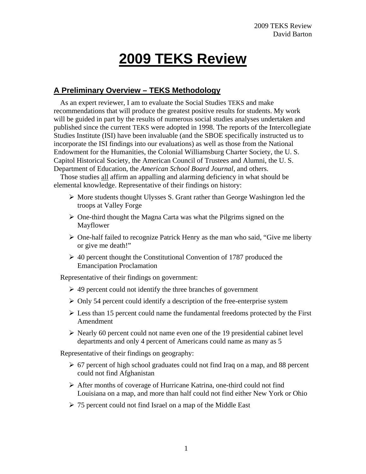# **2009 TEKS Review**

# **A Preliminary Overview – TEKS Methodology**

As an expert reviewer, I am to evaluate the Social Studies TEKS and make recommendations that will produce the greatest positive results for students. My work will be guided in part by the results of numerous social studies analyses undertaken and published since the current TEKS were adopted in 1998. The reports of the Intercollegiate Studies Institute (ISI) have been invaluable (and the SBOE specifically instructed us to incorporate the ISI findings into our evaluations) as well as those from the National Endowment for the Humanities, the Colonial Williamsburg Charter Society, the U. S. Capitol Historical Society, the American Council of Trustees and Alumni, the U. S. Department of Education, the *American School Board Journal*, and others.

Those studies all affirm an appalling and alarming deficiency in what should be elemental knowledge. Representative of their findings on history:

- $\triangleright$  More students thought Ulysses S. Grant rather than George Washington led the troops at Valley Forge
- $\triangleright$  One-third thought the Magna Carta was what the Pilgrims signed on the Mayflower
- $\triangleright$  One-half failed to recognize Patrick Henry as the man who said, "Give me liberty" or give me death!"
- $\geq$  40 percent thought the Constitutional Convention of 1787 produced the Emancipation Proclamation

Representative of their findings on government:

- $\geq$  49 percent could not identify the three branches of government
- $\triangleright$  Only 54 percent could identify a description of the free-enterprise system
- $\triangleright$  Less than 15 percent could name the fundamental freedoms protected by the First Amendment
- $\triangleright$  Nearly 60 percent could not name even one of the 19 presidential cabinet level departments and only 4 percent of Americans could name as many as 5

Representative of their findings on geography:

- $\geq 67$  percent of high school graduates could not find Iraq on a map, and 88 percent could not find Afghanistan
- After months of coverage of Hurricane Katrina, one-third could not find Louisiana on a map, and more than half could not find either New York or Ohio
- $\geq 75$  percent could not find Israel on a map of the Middle East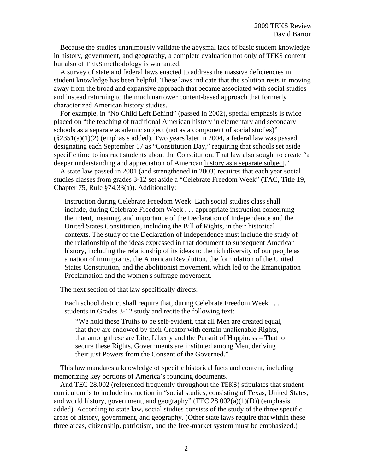Because the studies unanimously validate the abysmal lack of basic student knowledge in history, government, and geography, a complete evaluation not only of TEKS content but also of TEKS methodology is warranted.

A survey of state and federal laws enacted to address the massive deficiencies in student knowledge has been helpful. These laws indicate that the solution rests in moving away from the broad and expansive approach that became associated with social studies and instead returning to the much narrower content-based approach that formerly characterized American history studies.

For example, in "No Child Left Behind" (passed in 2002), special emphasis is twice placed on "the teaching of traditional American history in elementary and secondary schools as a separate academic subject (not as a component of social studies)"  $(\frac{2351(a)(1)(2)}{216})$  (emphasis added). Two years later in 2004, a federal law was passed designating each September 17 as "Constitution Day," requiring that schools set aside specific time to instruct students about the Constitution. That law also sought to create "a deeper understanding and appreciation of American history as a separate subject."

A state law passed in 2001 (and strengthened in 2003) requires that each year social studies classes from grades 3-12 set aside a "Celebrate Freedom Week" (TAC, Title 19, Chapter 75, Rule §74.33(a)). Additionally:

Instruction during Celebrate Freedom Week. Each social studies class shall include, during Celebrate Freedom Week . . . appropriate instruction concerning the intent, meaning, and importance of the Declaration of Independence and the United States Constitution, including the Bill of Rights, in their historical contexts. The study of the Declaration of Independence must include the study of the relationship of the ideas expressed in that document to subsequent American history, including the relationship of its ideas to the rich diversity of our people as a nation of immigrants, the American Revolution, the formulation of the United States Constitution, and the abolitionist movement, which led to the Emancipation Proclamation and the women's suffrage movement.

The next section of that law specifically directs:

Each school district shall require that, during Celebrate Freedom Week . . . students in Grades 3-12 study and recite the following text:

"We hold these Truths to be self-evident, that all Men are created equal, that they are endowed by their Creator with certain unalienable Rights, that among these are Life, Liberty and the Pursuit of Happiness – That to secure these Rights, Governments are instituted among Men, deriving their just Powers from the Consent of the Governed."

This law mandates a knowledge of specific historical facts and content, including memorizing key portions of America's founding documents.

And TEC 28.002 (referenced frequently throughout the TEKS) stipulates that student curriculum is to include instruction in "social studies, consisting of Texas, United States, and world history, government, and geography" (TEC  $28.002(a)(1)(D)$ ) (emphasis added). According to state law, social studies consists of the study of the three specific areas of history, government, and geography. (Other state laws require that within these three areas, citizenship, patriotism, and the free-market system must be emphasized.)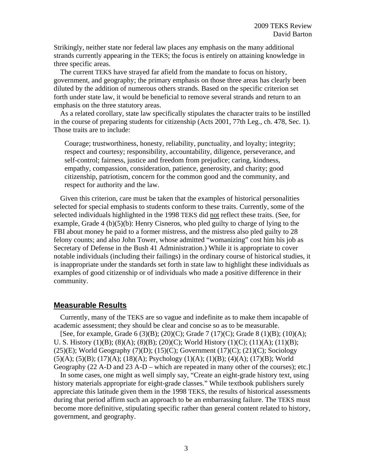Strikingly, neither state nor federal law places any emphasis on the many additional strands currently appearing in the TEKS; the focus is entirely on attaining knowledge in three specific areas.

The current TEKS have strayed far afield from the mandate to focus on history, government, and geography; the primary emphasis on those three areas has clearly been diluted by the addition of numerous others strands. Based on the specific criterion set forth under state law, it would be beneficial to remove several strands and return to an emphasis on the three statutory areas.

As a related corollary, state law specifically stipulates the character traits to be instilled in the course of preparing students for citizenship (Acts 2001, 77th Leg., ch. 478, Sec. 1). Those traits are to include:

Courage; trustworthiness, honesty, reliability, punctuality, and loyalty; integrity; respect and courtesy; responsibility, accountability, diligence, perseverance, and self-control; fairness, justice and freedom from prejudice; caring, kindness, empathy, compassion, consideration, patience, generosity, and charity; good citizenship, patriotism, concern for the common good and the community, and respect for authority and the law.

Given this criterion, care must be taken that the examples of historical personalities selected for special emphasis to students conform to these traits. Currently, some of the selected individuals highlighted in the 1998 TEKS did not reflect these traits. (See, for example, Grade 4 (b)(5)(b): Henry Cisneros, who pled guilty to charge of lying to the FBI about money he paid to a former mistress, and the mistress also pled guilty to 28 felony counts; and also John Tower, whose admitted "womanizing" cost him his job as Secretary of Defense in the Bush 41 Administration.) While it is appropriate to cover notable individuals (including their failings) in the ordinary course of historical studies, it is inappropriate under the standards set forth in state law to highlight these individuals as examples of good citizenship or of individuals who made a positive difference in their community.

## **Measurable Results**

Currently, many of the TEKS are so vague and indefinite as to make them incapable of academic assessment; they should be clear and concise so as to be measurable.

[See, for example, Grade 6 (3)(B); (20)(C); Grade 7 (17)(C); Grade 8 (1)(B); (10)(A); U. S. History (1)(B); (8)(A); (8)(B); (20)(C); World History (1)(C); (11)(A); (11)(B);  $(25)(E)$ ; World Geography  $(7)(D)$ ;  $(15)(C)$ ; Government  $(17)(C)$ ;  $(21)(C)$ ; Sociology (5)(A); (5)(B); (17)(A); (18)(A); Psychology (1)(A); (1)(B); (4)(A); (17)(B); World Geography (22 A-D and 23 A-D – which are repeated in many other of the courses); etc.]

In some cases, one might as well simply say, "Create an eight-grade history text, using history materials appropriate for eight-grade classes." While textbook publishers surely appreciate this latitude given them in the 1998 TEKS, the results of historical assessments during that period affirm such an approach to be an embarrassing failure. The TEKS must become more definitive, stipulating specific rather than general content related to history, government, and geography.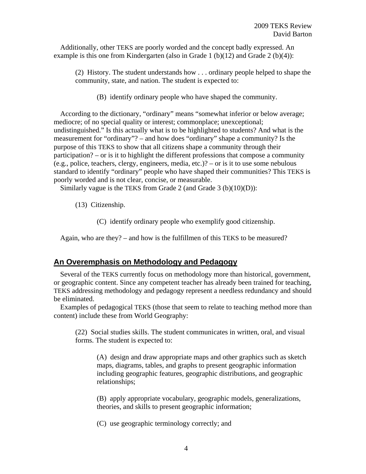Additionally, other TEKS are poorly worded and the concept badly expressed. An example is this one from Kindergarten (also in Grade 1  $(b)(12)$  and Grade 2  $(b)(4)$ ):

(2) History. The student understands how . . . ordinary people helped to shape the community, state, and nation. The student is expected to:

(B) identify ordinary people who have shaped the community.

According to the dictionary, "ordinary" means "somewhat inferior or below average; mediocre; of no special quality or interest; commonplace; unexceptional; undistinguished." Is this actually what is to be highlighted to students? And what is the measurement for "ordinary"? – and how does "ordinary" shape a community? Is the purpose of this TEKS to show that all citizens shape a community through their participation? – or is it to highlight the different professions that compose a community (e.g., police, teachers, clergy, engineers, media, etc.)? – or is it to use some nebulous standard to identify "ordinary" people who have shaped their communities? This TEKS is poorly worded and is not clear, concise, or measurable.

Similarly vague is the TEKS from Grade 2 (and Grade 3 (b)(10)(D)):

(13) Citizenship.

(C) identify ordinary people who exemplify good citizenship.

Again, who are they? – and how is the fulfillmen of this TEKS to be measured?

#### **An Overemphasis on Methodology and Pedagogy**

Several of the TEKS currently focus on methodology more than historical, government, or geographic content. Since any competent teacher has already been trained for teaching, TEKS addressing methodology and pedagogy represent a needless redundancy and should be eliminated.

Examples of pedagogical TEKS (those that seem to relate to teaching method more than content) include these from World Geography:

(22) Social studies skills. The student communicates in written, oral, and visual forms. The student is expected to:

(A) design and draw appropriate maps and other graphics such as sketch maps, diagrams, tables, and graphs to present geographic information including geographic features, geographic distributions, and geographic relationships;

(B) apply appropriate vocabulary, geographic models, generalizations, theories, and skills to present geographic information;

(C) use geographic terminology correctly; and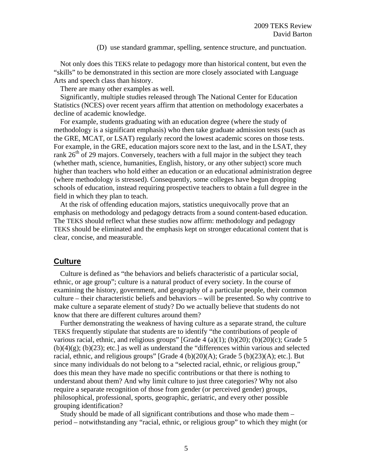#### (D) use standard grammar, spelling, sentence structure, and punctuation.

Not only does this TEKS relate to pedagogy more than historical content, but even the "skills" to be demonstrated in this section are more closely associated with Language Arts and speech class than history.

There are many other examples as well.

Significantly, multiple studies released through The National Center for Education Statistics (NCES) over recent years affirm that attention on methodology exacerbates a decline of academic knowledge.

For example, students graduating with an education degree (where the study of methodology is a significant emphasis) who then take graduate admission tests (such as the GRE, MCAT, or LSAT) regularly record the lowest academic scores on those tests. For example, in the GRE, education majors score next to the last, and in the LSAT, they rank  $26<sup>th</sup>$  of 29 majors. Conversely, teachers with a full major in the subject they teach (whether math, science, humanities, English, history, or any other subject) score much higher than teachers who hold either an education or an educational administration degree (where methodology is stressed). Consequently, some colleges have begun dropping schools of education, instead requiring prospective teachers to obtain a full degree in the field in which they plan to teach.

At the risk of offending education majors, statistics unequivocally prove that an emphasis on methodology and pedagogy detracts from a sound content-based education. The TEKS should reflect what these studies now affirm: methodology and pedagogy TEKS should be eliminated and the emphasis kept on stronger educational content that is clear, concise, and measurable.

## **Culture**

Culture is defined as "the behaviors and beliefs characteristic of a particular social, ethnic, or age group"; culture is a natural product of every society. In the course of examining the history, government, and geography of a particular people, their common culture – their characteristic beliefs and behaviors – will be presented. So why contrive to make culture a separate element of study? Do we actually believe that students do not know that there are different cultures around them?

Further demonstrating the weakness of having culture as a separate strand, the culture TEKS frequently stipulate that students are to identify "the contributions of people of various racial, ethnic, and religious groups" [Grade  $4(a)(1)$ ; (b)(20); (b)(20)(c); Grade 5  $(b)(4)(g)$ ;  $(b)(23)$ ; etc.] as well as understand the "differences within various and selected racial, ethnic, and religious groups" [Grade 4 (b)(20)(A); Grade 5 (b)(23)(A); etc.]. But since many individuals do not belong to a "selected racial, ethnic, or religious group," does this mean they have made no specific contributions or that there is nothing to understand about them? And why limit culture to just three categories? Why not also require a separate recognition of those from gender (or perceived gender) groups, philosophical, professional, sports, geographic, geriatric, and every other possible grouping identification?

Study should be made of all significant contributions and those who made them – period – notwithstanding any "racial, ethnic, or religious group" to which they might (or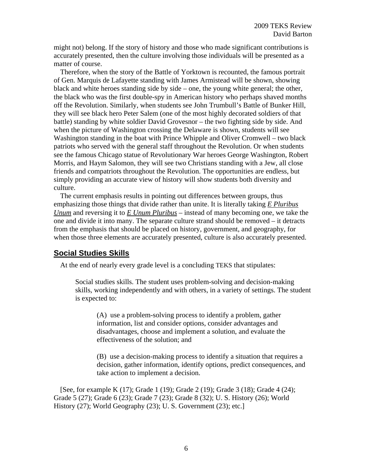might not) belong. If the story of history and those who made significant contributions is accurately presented, then the culture involving those individuals will be presented as a matter of course.

Therefore, when the story of the Battle of Yorktown is recounted, the famous portrait of Gen. Marquis de Lafayette standing with James Armistead will be shown, showing black and white heroes standing side by side – one, the young white general; the other, the black who was the first double-spy in American history who perhaps shaved months off the Revolution. Similarly, when students see John Trumbull's Battle of Bunker Hill, they will see black hero Peter Salem (one of the most highly decorated soldiers of that battle) standing by white soldier David Grovesnor – the two fighting side by side. And when the picture of Washington crossing the Delaware is shown, students will see Washington standing in the boat with Prince Whipple and Oliver Cromwell – two black patriots who served with the general staff throughout the Revolution. Or when students see the famous Chicago statue of Revolutionary War heroes George Washington, Robert Morris, and Haym Salomon, they will see two Christians standing with a Jew, all close friends and compatriots throughout the Revolution. The opportunities are endless, but simply providing an accurate view of history will show students both diversity and culture.

The current emphasis results in pointing out differences between groups, thus emphasizing those things that divide rather than unite. It is literally taking *E Pluribus Unum* and reversing it to *E Unum Pluribus* – instead of many becoming one, we take the one and divide it into many. The separate culture strand should be removed – it detracts from the emphasis that should be placed on history, government, and geography, for when those three elements are accurately presented, culture is also accurately presented.

# **Social Studies Skills**

At the end of nearly every grade level is a concluding TEKS that stipulates:

Social studies skills. The student uses problem-solving and decision-making skills, working independently and with others, in a variety of settings. The student is expected to:

(A) use a problem-solving process to identify a problem, gather information, list and consider options, consider advantages and disadvantages, choose and implement a solution, and evaluate the effectiveness of the solution; and

(B) use a decision-making process to identify a situation that requires a decision, gather information, identify options, predict consequences, and take action to implement a decision.

[See, for example K (17); Grade 1 (19); Grade 2 (19); Grade 3 (18); Grade 4 (24); Grade 5 (27); Grade 6 (23); Grade 7 (23); Grade 8 (32); U. S. History (26); World History (27); World Geography (23); U.S. Government (23); etc.]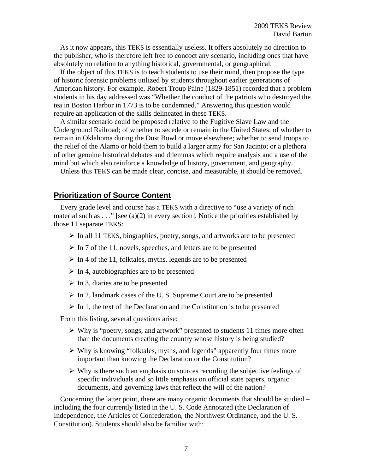As it now appears, this TEKS is essentially useless. It offers absolutely no direction to the publisher, who is therefore left free to concoct any scenario, including ones that have absolutely no relation to anything historical, governmental, or geographical.

If the object of this TEKS is to teach students to use their mind, then propose the type of historic forensic problems utilized by students throughout earlier generations of American history. For example, Robert Troup Paine (1829-1851) recorded that a problem students in his day addressed was "Whether the conduct of the patriots who destroyed the tea in Boston Harbor in 1773 is to be condemned." Answering this question would require an application of the skills delineated in these TEKS.

A similar scenario could be proposed relative to the Fugitive Slave Law and the Underground Railroad; of whether to secede or remain in the United States; of whether to remain in Oklahoma during the Dust Bowl or move elsewhere; whether to send troops to the relief of the Alamo or hold them to build a larger army for San Jacinto; or a plethora of other genuine historical debates and dilemmas which require analysis and a use of the mind but which also reinforce a knowledge of history, government, and geography.

Unless this TEKS can be made clear, concise, and measurable, it should be removed.

# **Prioritization of Source Content**

Every grade level and course has a TEKS with a directive to "use a variety of rich material such as . . ." [see (a)(2) in every section]. Notice the priorities established by those 11 separate TEKS:

- $\triangleright$  In all 11 TEKS, biographies, poetry, songs, and artworks are to be presented
- $\triangleright$  In 7 of the 11, novels, speeches, and letters are to be presented
- $\triangleright$  In 4 of the 11, folktales, myths, legends are to be presented
- $\triangleright$  In 4, autobiographies are to be presented
- $\triangleright$  In 3, diaries are to be presented
- $\triangleright$  In 2, landmark cases of the U.S. Supreme Court are to be presented
- $\triangleright$  In 1, the text of the Declaration and the Constitution is to be presented

From this listing, several questions arise:

- $\triangleright$  Why is "poetry, songs, and artwork" presented to students 11 times more often than the documents creating the country whose history is being studied?
- $\triangleright$  Why is knowing "folktales, myths, and legends" apparently four times more important than knowing the Declaration or the Constitution?
- $\triangleright$  Why is there such an emphasis on sources recording the subjective feelings of specific individuals and so little emphasis on official state papers, organic documents, and governing laws that reflect the will of the nation?

Concerning the latter point, there are many organic documents that should be studied – including the four currently listed in the U. S. Code Annotated (the Declaration of Independence, the Articles of Confederation, the Northwest Ordinance, and the U. S. Constitution). Students should also be familiar with: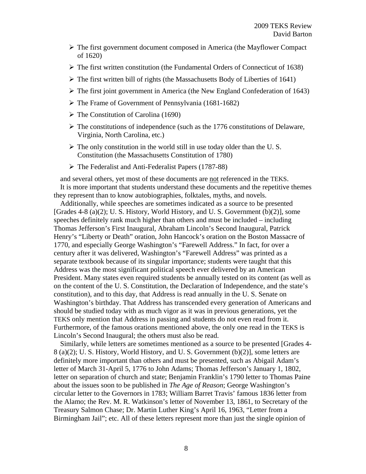- $\triangleright$  The first government document composed in America (the Mayflower Compact) of 1620)
- $\triangleright$  The first written constitution (the Fundamental Orders of Connecticut of 1638)
- $\triangleright$  The first written bill of rights (the Massachusetts Body of Liberties of 1641)
- $\triangleright$  The first joint government in America (the New England Confederation of 1643)
- $\triangleright$  The Frame of Government of Pennsylvania (1681-1682)
- $\triangleright$  The Constitution of Carolina (1690)
- $\triangleright$  The constitutions of independence (such as the 1776 constitutions of Delaware, Virginia, North Carolina, etc.)
- $\triangleright$  The only constitution in the world still in use today older than the U.S. Constitution (the Massachusetts Constitution of 1780)
- The Federalist and Anti-Federalist Papers (1787-88)

and several others, yet most of these documents are not referenced in the TEKS. It is more important that students understand these documents and the repetitive themes they represent than to know autobiographies, folktales, myths, and novels.

Additionally, while speeches are sometimes indicated as a source to be presented [Grades 4-8 (a)(2); U. S. History, World History, and U. S. Government (b)(2)], some speeches definitely rank much higher than others and must be included – including Thomas Jefferson's First Inaugural, Abraham Lincoln's Second Inaugural, Patrick Henry's "Liberty or Death" oration, John Hancock's oration on the Boston Massacre of 1770, and especially George Washington's "Farewell Address." In fact, for over a century after it was delivered, Washington's "Farewell Address" was printed as a separate textbook because of its singular importance; students were taught that this Address was the most significant political speech ever delivered by an American President. Many states even required students be annually tested on its content (as well as on the content of the U. S. Constitution, the Declaration of Independence, and the state's constitution), and to this day, that Address is read annually in the U. S. Senate on Washington's birthday. That Address has transcended every generation of Americans and should be studied today with as much vigor as it was in previous generations, yet the TEKS only mention that Address in passing and students do not even read from it. Furthermore, of the famous orations mentioned above, the only one read in the TEKS is Lincoln's Second Inaugural; the others must also be read.

Similarly, while letters are sometimes mentioned as a source to be presented [Grades 4- 8 (a)(2); U. S. History, World History, and U. S. Government (b)(2)], some letters are definitely more important than others and must be presented, such as Abigail Adam's letter of March 31-April 5, 1776 to John Adams; Thomas Jefferson's January 1, 1802, letter on separation of church and state; Benjamin Franklin's 1790 letter to Thomas Paine about the issues soon to be published in *The Age of Reason*; George Washington's circular letter to the Governors in 1783; William Barret Travis' famous 1836 letter from the Alamo; the Rev. M. R. Watkinson's letter of November 13, 1861, to Secretary of the Treasury Salmon Chase; Dr. Martin Luther King's April 16, 1963, "Letter from a Birmingham Jail"; etc. All of these letters represent more than just the single opinion of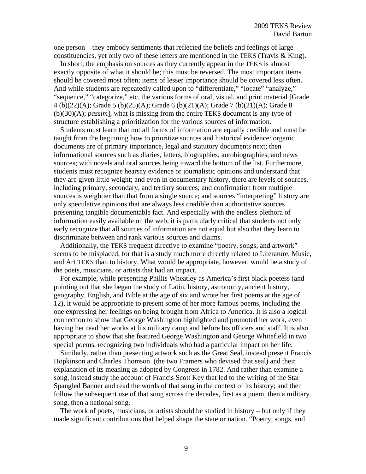one person – they embody sentiments that reflected the beliefs and feelings of large constituencies, yet only two of these letters are mentioned in the TEKS (Travis & King).

In short, the emphasis on sources as they currently appear in the TEKS is almost exactly opposite of what it should be; this must be reversed. The most important items should be covered most often; items of lesser importance should be covered less often. And while students are repeatedly called upon to "differentiate," "locate" "analyze," "sequence," "categorize," etc. the various forms of oral, visual, and print material [Grade 4 (b)(22)(A); Grade 5 (b)(25)(A); Grade 6 (b)(21)(A); Grade 7 (b)(21)(A); Grade 8 (b)(30)(A); *passim*], what is missing from the entire TEKS document is any type of structure establishing a prioritization for the various sources of information.

Students must learn that not all forms of information are equally credible and must be taught from the beginning how to prioritize sources and historical evidence: organic documents are of primary importance, legal and statutory documents next; then informational sources such as diaries, letters, biographies, autobiographies, and news sources; with novels and oral sources being toward the bottom of the list. Furthermore, students must recognize hearsay evidence or journalistic opinions and understand that they are given little weight; and even in documentary history, there are levels of sources, including primary, secondary, and tertiary sources; and confirmation from multiple sources is weightier than that from a single source; and sources "interpreting" history are only speculative opinions that are always less credible than authoritative sources presenting tangible documentable fact. And especially with the endless plethora of information easily available on the web, it is particularly critical that students not only early recognize that all sources of information are not equal but also that they learn to discriminate between and rank various sources and claims.

Additionally, the TEKS frequent directive to examine "poetry, songs, and artwork" seems to be misplaced, for that is a study much more directly related to Literature, Music, and Art TEKS than to history. What would be appropriate, however, would be a study of the poets, musicians, or artists that had an impact.

For example, while presenting Phillis Wheatley as America's first black poetess (and pointing out that she began the study of Latin, history, astronomy, ancient history, geography, English, and Bible at the age of six and wrote her first poems at the age of 12), it would be appropriate to present some of her more famous poems, including the one expressing her feelings on being brought from Africa to America. It is also a logical connection to show that George Washington highlighted and promoted her work, even having her read her works at his military camp and before his officers and staff. It is also appropriate to show that she featured George Washington and George Whitefield in two special poems, recognizing two individuals who had a particular impact on her life.

Similarly, rather than presenting artwork such as the Great Seal, instead present Francis Hopkinson and Charles Thomson (the two Framers who devised that seal) and their explanation of its meaning as adopted by Congress in 1782. And rather than examine a song, instead study the account of Francis Scott Key that led to the writing of the Star Spangled Banner and read the words of that song in the context of its history; and then follow the subsequent use of that song across the decades, first as a poem, then a military song, then a national song.

The work of poets, musicians, or artists should be studied in history – but only if they made significant contributions that helped shape the state or nation. "Poetry, songs, and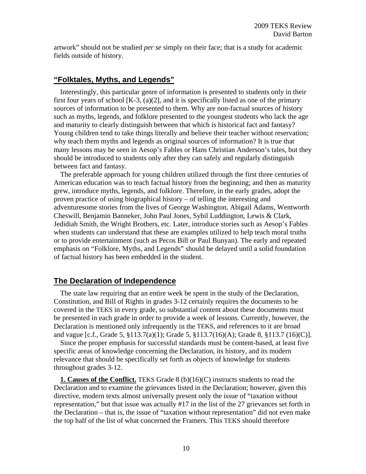artwork" should not be studied *per se* simply on their face; that is a study for academic fields outside of history.

## **"Folktales, Myths, and Legends"**

Interestingly, this particular genre of information is presented to students only in their first four years of school [K-3, (a)(2], and it is specifically listed as one of the primary sources of information to be presented to them. Why are non-factual sources of history such as myths, legends, and folklore presented to the youngest students who lack the age and maturity to clearly distinguish between that which is historical fact and fantasy? Young children tend to take things literally and believe their teacher without reservation; why teach them myths and legends as original sources of information? It is true that many lessons may be seen in Aesop's Fables or Hans Christian Anderson's tales, but they should be introduced to students only after they can safely and regularly distinguish between fact and fantasy.

The preferable approach for young children utilized through the first three centuries of American education was to teach factual history from the beginning; and then as maturity grew, introduce myths, legends, and folklore. Therefore, in the early grades, adopt the proven practice of using biographical history – of telling the interesting and adventuresome stories from the lives of George Washington, Abigail Adams, Wentworth Cheswill, Benjamin Banneker, John Paul Jones, Sybil Luddington, Lewis & Clark, Jedidiah Smith, the Wright Brothers, etc. Later, introduce stories such as Aesop's Fables when students can understand that these are examples utilized to help teach moral truths or to provide entertainment (such as Pecos Bill or Paul Bunyan). The early and repeated emphasis on "Folklore, Myths, and Legends" should be delayed until a solid foundation of factual history has been embedded in the student.

## **The Declaration of Independence**

The state law requiring that an entire week be spent in the study of the Declaration, Constitution, and Bill of Rights in grades 3-12 certainly requires the documents to be covered in the TEKS in every grade, so substantial content about these documents must be presented in each grade in order to provide a week of lessons. Currently, however, the Declaration is mentioned only infrequently in the TEKS, and references to it are broad and vague [c.f., Grade 5, §113.7(a)(1); Grade 5, §113.7(16)(A); Grade 8, §113.7 (16)(C)].

Since the proper emphasis for successful standards must be content-based, at least five specific areas of knowledge concerning the Declaration, its history, and its modern relevance that should be specifically set forth as objects of knowledge for students throughout grades 3-12.

**1. Causes of the Conflict.** TEKS Grade 8 (b)(16)(C) instructs students to read the Declaration and to examine the grievances listed in the Declaration; however, given this directive, modern texts almost universally present only the issue of "taxation without representation," but that issue was actually #17 in the list of the 27 grievances set forth in the Declaration – that is, the issue of "taxation without representation" did not even make the top half of the list of what concerned the Framers. This TEKS should therefore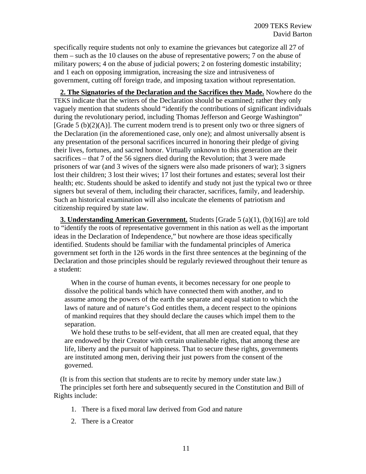specifically require students not only to examine the grievances but categorize all 27 of them – such as the 10 clauses on the abuse of representative powers; 7 on the abuse of military powers; 4 on the abuse of judicial powers; 2 on fostering domestic instability; and 1 each on opposing immigration, increasing the size and intrusiveness of government, cutting off foreign trade, and imposing taxation without representation.

**2. The Signatories of the Declaration and the Sacrifices they Made.** Nowhere do the TEKS indicate that the writers of the Declaration should be examined; rather they only vaguely mention that students should "identify the contributions of significant individuals during the revolutionary period, including Thomas Jefferson and George Washington" [Grade 5 (b) $(2)(A)$ ]. The current modern trend is to present only two or three signers of the Declaration (in the aforementioned case, only one); and almost universally absent is any presentation of the personal sacrifices incurred in honoring their pledge of giving their lives, fortunes, and sacred honor. Virtually unknown to this generation are their sacrifices – that 7 of the 56 signers died during the Revolution; that 3 were made prisoners of war (and 3 wives of the signers were also made prisoners of war); 3 signers lost their children; 3 lost their wives; 17 lost their fortunes and estates; several lost their health; etc. Students should be asked to identify and study not just the typical two or three signers but several of them, including their character, sacrifices, family, and leadership. Such an historical examination will also inculcate the elements of patriotism and citizenship required by state law.

**3. Understanding American Government.** Students [Grade 5 (a)(1), (b)(16)] are told to "identify the roots of representative government in this nation as well as the important ideas in the Declaration of Independence," but nowhere are those ideas specifically identified. Students should be familiar with the fundamental principles of America government set forth in the 126 words in the first three sentences at the beginning of the Declaration and those principles should be regularly reviewed throughout their tenure as a student:

When in the course of human events, it becomes necessary for one people to dissolve the political bands which have connected them with another, and to assume among the powers of the earth the separate and equal station to which the laws of nature and of nature's God entitles them, a decent respect to the opinions of mankind requires that they should declare the causes which impel them to the separation.

We hold these truths to be self-evident, that all men are created equal, that they are endowed by their Creator with certain unalienable rights, that among these are life, liberty and the pursuit of happiness. That to secure these rights, governments are instituted among men, deriving their just powers from the consent of the governed.

(It is from this section that students are to recite by memory under state law.) The principles set forth here and subsequently secured in the Constitution and Bill of Rights include:

- 1. There is a fixed moral law derived from God and nature
- 2. There is a Creator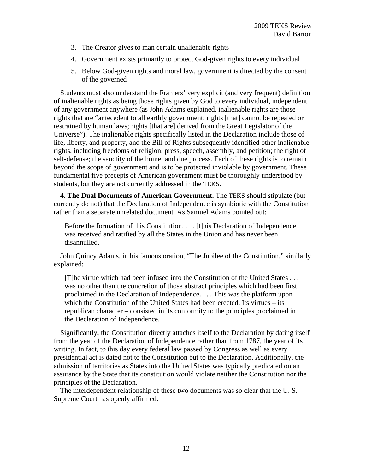- 3. The Creator gives to man certain unalienable rights
- 4. Government exists primarily to protect God-given rights to every individual
- 5. Below God-given rights and moral law, government is directed by the consent of the governed

Students must also understand the Framers' very explicit (and very frequent) definition of inalienable rights as being those rights given by God to every individual, independent of any government anywhere (as John Adams explained, inalienable rights are those rights that are "antecedent to all earthly government; rights [that] cannot be repealed or restrained by human laws; rights [that are] derived from the Great Legislator of the Universe"). The inalienable rights specifically listed in the Declaration include those of life, liberty, and property, and the Bill of Rights subsequently identified other inalienable rights, including freedoms of religion, press, speech, assembly, and petition; the right of self-defense; the sanctity of the home; and due process. Each of these rights is to remain beyond the scope of government and is to be protected inviolable by government. These fundamental five precepts of American government must be thoroughly understood by students, but they are not currently addressed in the TEKS.

**4. The Dual Documents of American Government.** The TEKS should stipulate (but currently do not) that the Declaration of Independence is symbiotic with the Constitution rather than a separate unrelated document. As Samuel Adams pointed out:

Before the formation of this Constitution. . . . [t]his Declaration of Independence was received and ratified by all the States in the Union and has never been disannulled.

John Quincy Adams, in his famous oration, "The Jubilee of the Constitution," similarly explained:

[T]he virtue which had been infused into the Constitution of the United States . . . was no other than the concretion of those abstract principles which had been first proclaimed in the Declaration of Independence. . . . This was the platform upon which the Constitution of the United States had been erected. Its virtues – its republican character – consisted in its conformity to the principles proclaimed in the Declaration of Independence.

Significantly, the Constitution directly attaches itself to the Declaration by dating itself from the year of the Declaration of Independence rather than from 1787, the year of its writing. In fact, to this day every federal law passed by Congress as well as every presidential act is dated not to the Constitution but to the Declaration. Additionally, the admission of territories as States into the United States was typically predicated on an assurance by the State that its constitution would violate neither the Constitution nor the principles of the Declaration.

The interdependent relationship of these two documents was so clear that the U. S. Supreme Court has openly affirmed: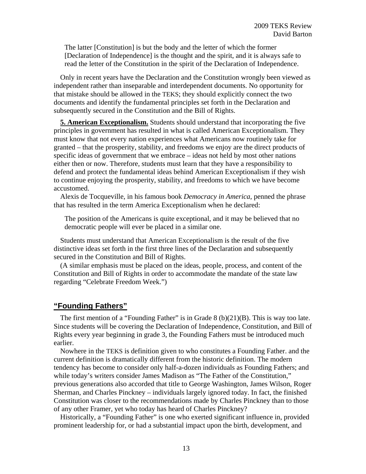The latter [Constitution] is but the body and the letter of which the former [Declaration of Independence] is the thought and the spirit, and it is always safe to read the letter of the Constitution in the spirit of the Declaration of Independence.

Only in recent years have the Declaration and the Constitution wrongly been viewed as independent rather than inseparable and interdependent documents. No opportunity for that mistake should be allowed in the TEKS; they should explicitly connect the two documents and identify the fundamental principles set forth in the Declaration and subsequently secured in the Constitution and the Bill of Rights.

**5. American Exceptionalism.** Students should understand that incorporating the five principles in government has resulted in what is called American Exceptionalism. They must know that not every nation experiences what Americans now routinely take for granted – that the prosperity, stability, and freedoms we enjoy are the direct products of specific ideas of government that we embrace – ideas not held by most other nations either then or now. Therefore, students must learn that they have a responsibility to defend and protect the fundamental ideas behind American Exceptionalism if they wish to continue enjoying the prosperity, stability, and freedoms to which we have become accustomed.

Alexis de Tocqueville, in his famous book *Democracy in America*, penned the phrase that has resulted in the term America Exceptionalism when he declared:

The position of the Americans is quite exceptional, and it may be believed that no democratic people will ever be placed in a similar one.

Students must understand that American Exceptionalism is the result of the five distinctive ideas set forth in the first three lines of the Declaration and subsequently secured in the Constitution and Bill of Rights.

(A similar emphasis must be placed on the ideas, people, process, and content of the Constitution and Bill of Rights in order to accommodate the mandate of the state law regarding "Celebrate Freedom Week.")

# **"Founding Fathers"**

The first mention of a "Founding Father" is in Grade  $8 \text{ (b)}(21)(B)$ . This is way too late. Since students will be covering the Declaration of Independence, Constitution, and Bill of Rights every year beginning in grade 3, the Founding Fathers must be introduced much earlier.

Nowhere in the TEKS is definition given to who constitutes a Founding Father. and the current definition is dramatically different from the historic definition. The modern tendency has become to consider only half-a-dozen individuals as Founding Fathers; and while today's writers consider James Madison as "The Father of the Constitution," previous generations also accorded that title to George Washington, James Wilson, Roger Sherman, and Charles Pinckney – individuals largely ignored today. In fact, the finished Constitution was closer to the recommendations made by Charles Pinckney than to those of any other Framer, yet who today has heard of Charles Pinckney?

Historically, a "Founding Father" is one who exerted significant influence in, provided prominent leadership for, or had a substantial impact upon the birth, development, and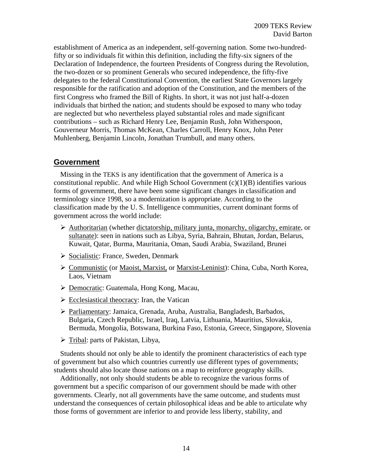establishment of America as an independent, self-governing nation. Some two-hundredfifty or so individuals fit within this definition, including the fifty-six signers of the Declaration of Independence, the fourteen Presidents of Congress during the Revolution, the two-dozen or so prominent Generals who secured independence, the fifty-five delegates to the federal Constitutional Convention, the earliest State Governors largely responsible for the ratification and adoption of the Constitution, and the members of the first Congress who framed the Bill of Rights. In short, it was not just half-a-dozen individuals that birthed the nation; and students should be exposed to many who today are neglected but who nevertheless played substantial roles and made significant contributions – such as Richard Henry Lee, Benjamin Rush, John Witherspoon, Gouverneur Morris, Thomas McKean, Charles Carroll, Henry Knox, John Peter Muhlenberg, Benjamin Lincoln, Jonathan Trumbull, and many others.

# **Government**

Missing in the TEKS is any identification that the government of America is a constitutional republic. And while High School Government  $(c)(1)(B)$  identifies various forms of government, there have been some significant changes in classification and terminology since 1998, so a modernization is appropriate. According to the classification made by the U. S. Intelligence communities, current dominant forms of government across the world include:

- $\triangleright$  Authoritarian (whether dictatorship, military junta, monarchy, oligarchy, emirate, or sultanate): seen in nations such as Libya, Syria, Bahrain, Bhutan, Jordan, Belarus, Kuwait, Qatar, Burma, Mauritania, Oman, Saudi Arabia, Swaziland, Brunei
- ▶ Socialistic: France, Sweden, Denmark
- Communistic (or Maoist, Marxist, or Marxist-Leninist): China, Cuba, North Korea, Laos, Vietnam
- Democratic: Guatemala, Hong Kong, Macau,
- $\triangleright$  Ecclesiastical theocracy: Iran, the Vatican
- Parliamentary: Jamaica, Grenada, Aruba, Australia, Bangladesh, Barbados, Bulgaria, Czech Republic, Israel, Iraq, Latvia, Lithuania, Mauritius, Slovakia, Bermuda, Mongolia, Botswana, Burkina Faso, Estonia, Greece, Singapore, Slovenia
- $\triangleright$  Tribal: parts of Pakistan, Libya,

Students should not only be able to identify the prominent characteristics of each type of government but also which countries currently use different types of governments; students should also locate those nations on a map to reinforce geography skills.

Additionally, not only should students be able to recognize the various forms of government but a specific comparison of our government should be made with other governments. Clearly, not all governments have the same outcome, and students must understand the consequences of certain philosophical ideas and be able to articulate why those forms of government are inferior to and provide less liberty, stability, and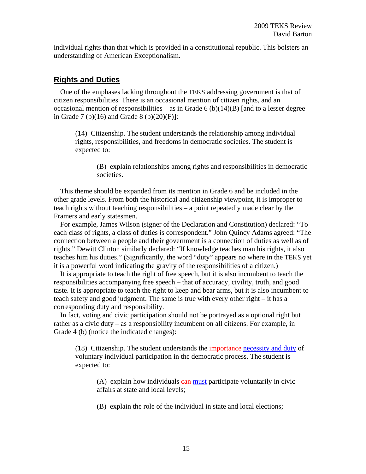individual rights than that which is provided in a constitutional republic. This bolsters an understanding of American Exceptionalism.

## **Rights and Duties**

One of the emphases lacking throughout the TEKS addressing government is that of citizen responsibilities. There is an occasional mention of citizen rights, and an occasional mention of responsibilities – as in Grade  $6$  (b)(14)(B) [and to a lesser degree in Grade 7 (b)(16) and Grade 8 (b)(20)(F)]:

(14) Citizenship. The student understands the relationship among individual rights, responsibilities, and freedoms in democratic societies. The student is expected to:

(B) explain relationships among rights and responsibilities in democratic societies.

This theme should be expanded from its mention in Grade 6 and be included in the other grade levels. From both the historical and citizenship viewpoint, it is improper to teach rights without teaching responsibilities – a point repeatedly made clear by the Framers and early statesmen.

For example, James Wilson (signer of the Declaration and Constitution) declared: "To each class of rights, a class of duties is correspondent." John Quincy Adams agreed: "The connection between a people and their government is a connection of duties as well as of rights." Dewitt Clinton similarly declared: "If knowledge teaches man his rights, it also teaches him his duties." (Significantly, the word "duty" appears no where in the TEKS yet it is a powerful word indicating the gravity of the responsibilities of a citizen.)

It is appropriate to teach the right of free speech, but it is also incumbent to teach the responsibilities accompanying free speech – that of accuracy, civility, truth, and good taste. It is appropriate to teach the right to keep and bear arms, but it is also incumbent to teach safety and good judgment. The same is true with every other right – it has a corresponding duty and responsibility.

In fact, voting and civic participation should not be portrayed as a optional right but rather as a civic duty – as a responsibility incumbent on all citizens. For example, in Grade 4 (b) (notice the indicated changes):

(18) Citizenship. The student understands the *importance necessity and duty of* voluntary individual participation in the democratic process. The student is expected to:

(A) explain how individuals  $\frac{c}{n}$  must participate voluntarily in civic affairs at state and local levels;

(B) explain the role of the individual in state and local elections;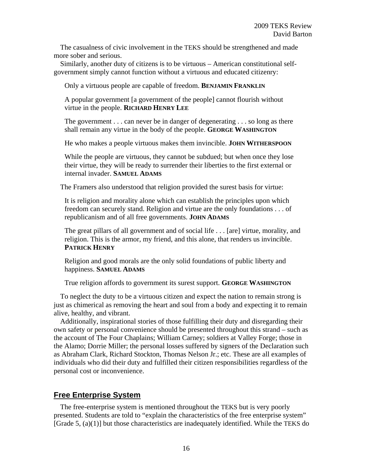The casualness of civic involvement in the TEKS should be strengthened and made more sober and serious.

Similarly, another duty of citizens is to be virtuous – American constitutional selfgovernment simply cannot function without a virtuous and educated citizenry:

Only a virtuous people are capable of freedom. **BENJAMIN FRANKLIN**

A popular government [a government of the people] cannot flourish without virtue in the people. **RICHARD HENRY LEE**

The government . . . can never be in danger of degenerating . . . so long as there shall remain any virtue in the body of the people. **GEORGE WASHINGTON**

He who makes a people virtuous makes them invincible. **JOHN WITHERSPOON**

While the people are virtuous, they cannot be subdued; but when once they lose their virtue, they will be ready to surrender their liberties to the first external or internal invader. **SAMUEL ADAMS**

The Framers also understood that religion provided the surest basis for virtue:

It is religion and morality alone which can establish the principles upon which freedom can securely stand. Religion and virtue are the only foundations . . . of republicanism and of all free governments. **JOHN ADAMS**

The great pillars of all government and of social life . . . [are] virtue, morality, and religion. This is the armor, my friend, and this alone, that renders us invincible. **PATRICK HENRY**

Religion and good morals are the only solid foundations of public liberty and happiness. **SAMUEL ADAMS**

True religion affords to government its surest support. **GEORGE WASHINGTON**

To neglect the duty to be a virtuous citizen and expect the nation to remain strong is just as chimerical as removing the heart and soul from a body and expecting it to remain alive, healthy, and vibrant.

Additionally, inspirational stories of those fulfilling their duty and disregarding their own safety or personal convenience should be presented throughout this strand – such as the account of The Four Chaplains; William Carney; soldiers at Valley Forge; those in the Alamo; Dorrie Miller; the personal losses suffered by signers of the Declaration such as Abraham Clark, Richard Stockton, Thomas Nelson Jr.; etc. These are all examples of individuals who did their duty and fulfilled their citizen responsibilities regardless of the personal cost or inconvenience.

# **Free Enterprise System**

The free-enterprise system is mentioned throughout the TEKS but is very poorly presented. Students are told to "explain the characteristics of the free enterprise system" [Grade 5, (a)(1)] but those characteristics are inadequately identified. While the TEKS do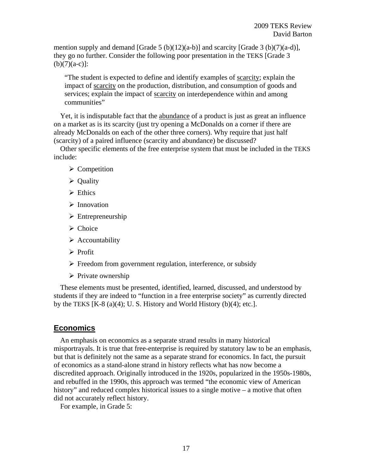mention supply and demand [Grade 5 (b)(12)(a-b)] and scarcity [Grade 3 (b)(7)(a-d)], they go no further. Consider the following poor presentation in the TEKS [Grade 3  $(b)(7)(a-c)!$ :

"The student is expected to define and identify examples of scarcity; explain the impact of scarcity on the production, distribution, and consumption of goods and services; explain the impact of scarcity on interdependence within and among communities"

Yet, it is indisputable fact that the abundance of a product is just as great an influence on a market as is its scarcity (just try opening a McDonalds on a corner if there are already McDonalds on each of the other three corners). Why require that just half (scarcity) of a paired influence (scarcity and abundance) be discussed?

Other specific elements of the free enterprise system that must be included in the TEKS include:

- $\triangleright$  Competition
- $\triangleright$  Quality
- $\triangleright$  Ethics
- $\triangleright$  Innovation
- $\triangleright$  Entrepreneurship
- $\triangleright$  Choice
- $\triangleright$  Accountability
- $\triangleright$  Profit
- $\triangleright$  Freedom from government regulation, interference, or subsidy
- $\triangleright$  Private ownership

These elements must be presented, identified, learned, discussed, and understood by students if they are indeed to "function in a free enterprise society" as currently directed by the TEKS  $[K-8(a)(4); U. S. History and World History (b)(4); etc.$ ].

# **Economics**

An emphasis on economics as a separate strand results in many historical misportrayals. It is true that free-enterprise is required by statutory law to be an emphasis, but that is definitely not the same as a separate strand for economics. In fact, the pursuit of economics as a stand-alone strand in history reflects what has now become a discredited approach. Originally introduced in the 1920s, popularized in the 1950s-1980s, and rebuffed in the 1990s, this approach was termed "the economic view of American history" and reduced complex historical issues to a single motive – a motive that often did not accurately reflect history.

For example, in Grade 5: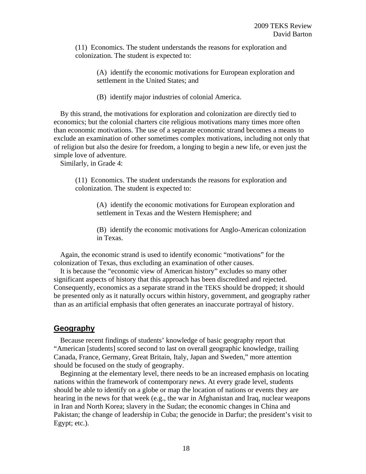(11) Economics. The student understands the reasons for exploration and colonization. The student is expected to:

> (A) identify the economic motivations for European exploration and settlement in the United States; and

(B) identify major industries of colonial America.

By this strand, the motivations for exploration and colonization are directly tied to economics; but the colonial charters cite religious motivations many times more often than economic motivations. The use of a separate economic strand becomes a means to exclude an examination of other sometimes complex motivations, including not only that of religion but also the desire for freedom, a longing to begin a new life, or even just the simple love of adventure.

Similarly, in Grade 4:

(11) Economics. The student understands the reasons for exploration and colonization. The student is expected to:

> (A) identify the economic motivations for European exploration and settlement in Texas and the Western Hemisphere; and

(B) identify the economic motivations for Anglo-American colonization in Texas.

Again, the economic strand is used to identify economic "motivations" for the colonization of Texas, thus excluding an examination of other causes.

It is because the "economic view of American history" excludes so many other significant aspects of history that this approach has been discredited and rejected. Consequently, economics as a separate strand in the TEKS should be dropped; it should be presented only as it naturally occurs within history, government, and geography rather than as an artificial emphasis that often generates an inaccurate portrayal of history.

## **Geography**

Because recent findings of students' knowledge of basic geography report that "American [students] scored second to last on overall geographic knowledge, trailing Canada, France, Germany, Great Britain, Italy, Japan and Sweden," more attention should be focused on the study of geography.

Beginning at the elementary level, there needs to be an increased emphasis on locating nations within the framework of contemporary news. At every grade level, students should be able to identify on a globe or map the location of nations or events they are hearing in the news for that week (e.g., the war in Afghanistan and Iraq, nuclear weapons in Iran and North Korea; slavery in the Sudan; the economic changes in China and Pakistan; the change of leadership in Cuba; the genocide in Darfur; the president's visit to Egypt; etc.).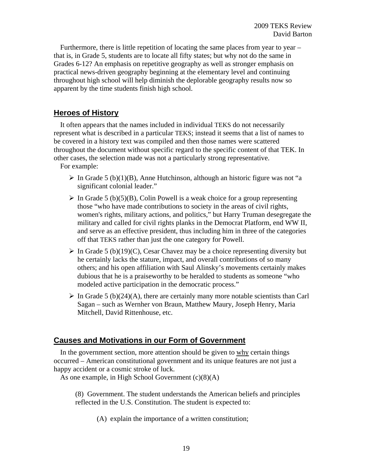Furthermore, there is little repetition of locating the same places from year to year  $$ that is, in Grade 5, students are to locate all fifty states; but why not do the same in Grades 6-12? An emphasis on repetitive geography as well as stronger emphasis on practical news-driven geography beginning at the elementary level and continuing throughout high school will help diminish the deplorable geography results now so apparent by the time students finish high school.

# **Heroes of History**

It often appears that the names included in individual TEKS do not necessarily represent what is described in a particular TEKS; instead it seems that a list of names to be covered in a history text was compiled and then those names were scattered throughout the document without specific regard to the specific content of that TEK. In other cases, the selection made was not a particularly strong representative.

For example:

- $\triangleright$  In Grade 5 (b)(1)(B), Anne Hutchinson, although an historic figure was not "a significant colonial leader."
- $\triangleright$  In Grade 5 (b)(5)(B), Colin Powell is a weak choice for a group representing those "who have made contributions to society in the areas of civil rights, women's rights, military actions, and politics," but Harry Truman desegregate the military and called for civil rights planks in the Democrat Platform, end WW II, and serve as an effective president, thus including him in three of the categories off that TEKS rather than just the one category for Powell.
- $\triangleright$  In Grade 5 (b)(19)(C), Cesar Chavez may be a choice representing diversity but he certainly lacks the stature, impact, and overall contributions of so many others; and his open affiliation with Saul Alinsky's movements certainly makes dubious that he is a praiseworthy to be heralded to students as someone "who modeled active participation in the democratic process."
- $\triangleright$  In Grade 5 (b)(24)(A), there are certainly many more notable scientists than Carl Sagan – such as Wernher von Braun, Matthew Maury, Joseph Henry, Maria Mitchell, David Rittenhouse, etc.

# **Causes and Motivations in our Form of Government**

In the government section, more attention should be given to why certain things occurred – American constitutional government and its unique features are not just a happy accident or a cosmic stroke of luck.

As one example, in High School Government (c)(8)(A)

(8) Government. The student understands the American beliefs and principles reflected in the U.S. Constitution. The student is expected to:

(A) explain the importance of a written constitution;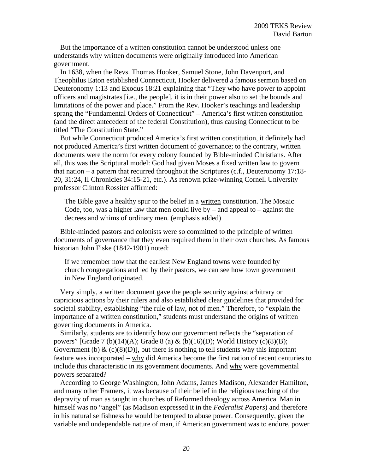But the importance of a written constitution cannot be understood unless one understands why written documents were originally introduced into American government.

In 1638, when the Revs. Thomas Hooker, Samuel Stone, John Davenport, and Theophilus Eaton established Connecticut, Hooker delivered a famous sermon based on Deuteronomy 1:13 and Exodus 18:21 explaining that "They who have power to appoint officers and magistrates [i.e., the people], it is in their power also to set the bounds and limitations of the power and place." From the Rev. Hooker's teachings and leadership sprang the "Fundamental Orders of Connecticut" – America's first written constitution (and the direct antecedent of the federal Constitution), thus causing Connecticut to be titled "The Constitution State."

But while Connecticut produced America's first written constitution, it definitely had not produced America's first written document of governance; to the contrary, written documents were the norm for every colony founded by Bible-minded Christians. After all, this was the Scriptural model: God had given Moses a fixed written law to govern that nation – a pattern that recurred throughout the Scriptures (c.f., Deuteronomy 17:18- 20, 31:24, II Chronicles 34:15-21, etc.). As renown prize-winning Cornell University professor Clinton Rossiter affirmed:

The Bible gave a healthy spur to the belief in a written constitution. The Mosaic Code, too, was a higher law that men could live by  $-$  and appeal to  $-$  against the decrees and whims of ordinary men. (emphasis added)

Bible-minded pastors and colonists were so committed to the principle of written documents of governance that they even required them in their own churches. As famous historian John Fiske (1842-1901) noted:

If we remember now that the earliest New England towns were founded by church congregations and led by their pastors, we can see how town government in New England originated.

Very simply, a written document gave the people security against arbitrary or capricious actions by their rulers and also established clear guidelines that provided for societal stability, establishing "the rule of law, not of men." Therefore, to "explain the importance of a written constitution," students must understand the origins of written governing documents in America.

Similarly, students are to identify how our government reflects the "separation of powers" [Grade 7 (b)(14)(A); Grade 8 (a)  $\&$  (b)(16)(D); World History (c)(8)(B); Government (b)  $\&$  (c)(8)(D)], but there is nothing to tell students why this important feature was incorporated – why did America become the first nation of recent centuries to include this characteristic in its government documents. And why were governmental powers separated?

According to George Washington, John Adams, James Madison, Alexander Hamilton, and many other Framers, it was because of their belief in the religious teaching of the depravity of man as taught in churches of Reformed theology across America. Man in himself was no "angel" (as Madison expressed it in the *Federalist Papers*) and therefore in his natural selfishness he would be tempted to abuse power. Consequently, given the variable and undependable nature of man, if American government was to endure, power